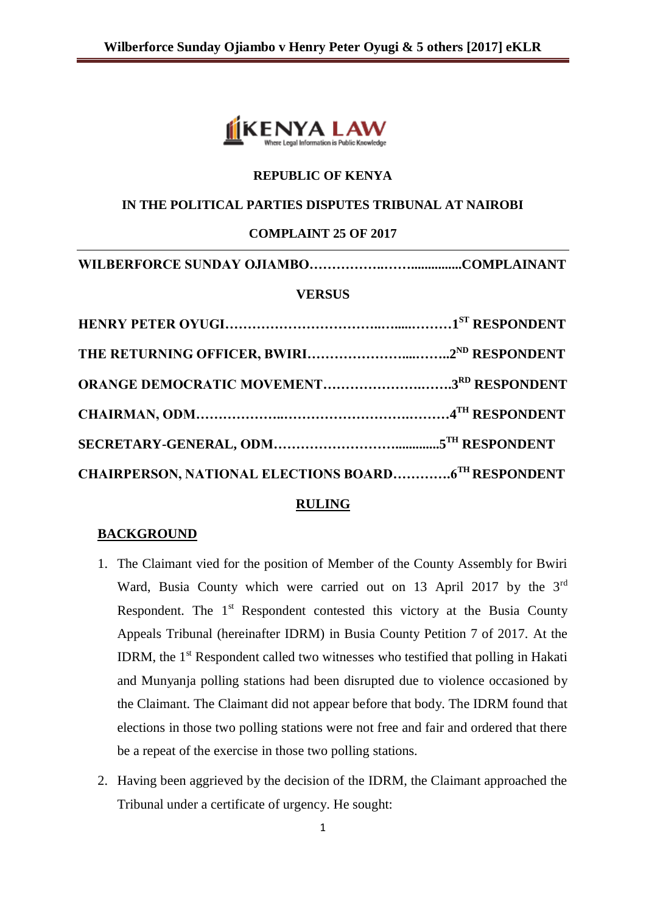

## **REPUBLIC OF KENYA**

## **IN THE POLITICAL PARTIES DISPUTES TRIBUNAL AT NAIROBI**

### **COMPLAINT 25 OF 2017**

```
WILBERFORCE SUNDAY OJIAMBO……………..……...............COMPLAINANT
```
## **VERSUS**

| <b>ORANGE DEMOCRATIC MOVEMENT3RD RESPONDENT</b>            |  |
|------------------------------------------------------------|--|
|                                                            |  |
|                                                            |  |
| <b>CHAIRPERSON, NATIONAL ELECTIONS BOARD6TH RESPONDENT</b> |  |

#### **RULING**

## **BACKGROUND**

- 1. The Claimant vied for the position of Member of the County Assembly for Bwiri Ward, Busia County which were carried out on 13 April 2017 by the 3<sup>rd</sup> Respondent. The  $1<sup>st</sup>$  Respondent contested this victory at the Busia County Appeals Tribunal (hereinafter IDRM) in Busia County Petition 7 of 2017. At the IDRM, the  $1<sup>st</sup>$  Respondent called two witnesses who testified that polling in Hakati and Munyanja polling stations had been disrupted due to violence occasioned by the Claimant. The Claimant did not appear before that body. The IDRM found that elections in those two polling stations were not free and fair and ordered that there be a repeat of the exercise in those two polling stations.
- 2. Having been aggrieved by the decision of the IDRM, the Claimant approached the Tribunal under a certificate of urgency. He sought: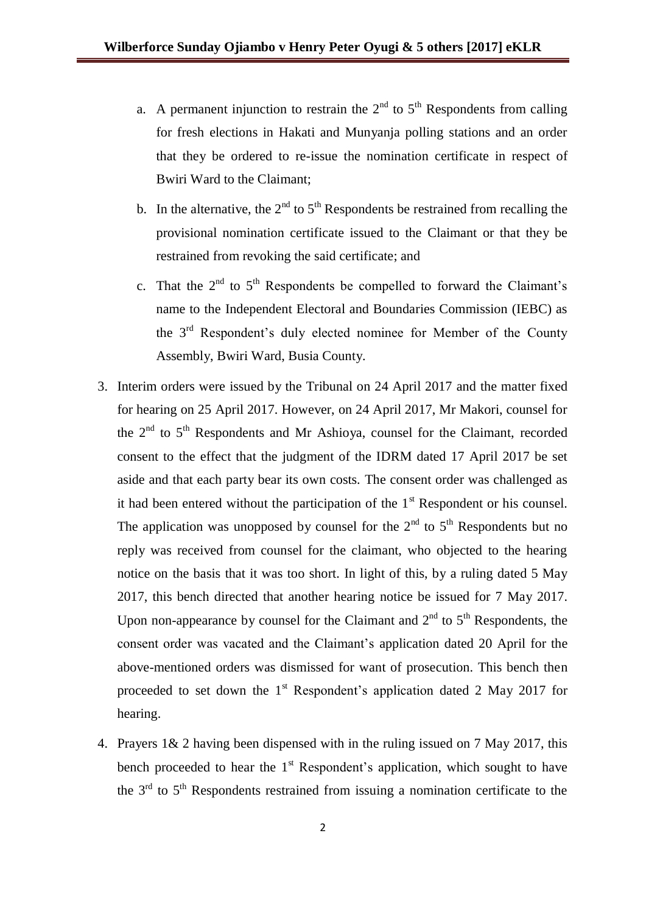- a. A permanent injunction to restrain the  $2<sup>nd</sup>$  to  $5<sup>th</sup>$  Respondents from calling for fresh elections in Hakati and Munyanja polling stations and an order that they be ordered to re-issue the nomination certificate in respect of Bwiri Ward to the Claimant;
- b. In the alternative, the  $2<sup>nd</sup>$  to  $5<sup>th</sup>$  Respondents be restrained from recalling the provisional nomination certificate issued to the Claimant or that they be restrained from revoking the said certificate; and
- c. That the  $2<sup>nd</sup>$  to  $5<sup>th</sup>$  Respondents be compelled to forward the Claimant's name to the Independent Electoral and Boundaries Commission (IEBC) as the 3rd Respondent's duly elected nominee for Member of the County Assembly, Bwiri Ward, Busia County.
- 3. Interim orders were issued by the Tribunal on 24 April 2017 and the matter fixed for hearing on 25 April 2017. However, on 24 April 2017, Mr Makori, counsel for the  $2<sup>nd</sup>$  to  $5<sup>th</sup>$  Respondents and Mr Ashioya, counsel for the Claimant, recorded consent to the effect that the judgment of the IDRM dated 17 April 2017 be set aside and that each party bear its own costs. The consent order was challenged as it had been entered without the participation of the  $1<sup>st</sup>$  Respondent or his counsel. The application was unopposed by counsel for the  $2<sup>nd</sup>$  to  $5<sup>th</sup>$  Respondents but no reply was received from counsel for the claimant, who objected to the hearing notice on the basis that it was too short. In light of this, by a ruling dated 5 May 2017, this bench directed that another hearing notice be issued for 7 May 2017. Upon non-appearance by counsel for the Claimant and  $2<sup>nd</sup>$  to  $5<sup>th</sup>$  Respondents, the consent order was vacated and the Claimant's application dated 20 April for the above-mentioned orders was dismissed for want of prosecution. This bench then proceeded to set down the  $1<sup>st</sup>$  Respondent's application dated 2 May 2017 for hearing.
- 4. Prayers 1& 2 having been dispensed with in the ruling issued on 7 May 2017, this bench proceeded to hear the  $1<sup>st</sup>$  Respondent's application, which sought to have the  $3<sup>rd</sup>$  to  $5<sup>th</sup>$  Respondents restrained from issuing a nomination certificate to the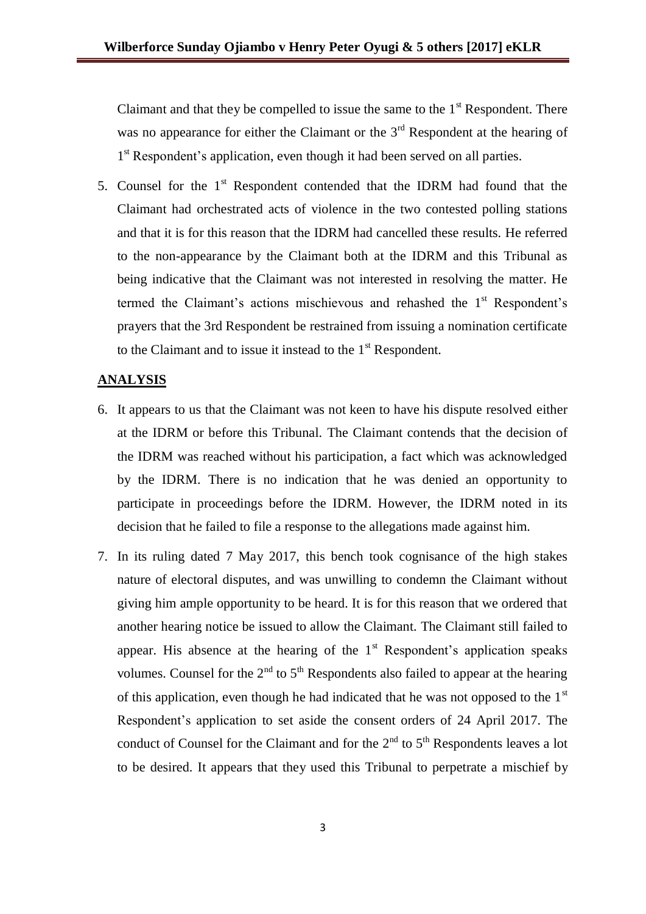Claimant and that they be compelled to issue the same to the  $1<sup>st</sup>$  Respondent. There was no appearance for either the Claimant or the  $3<sup>rd</sup>$  Respondent at the hearing of 1<sup>st</sup> Respondent's application, even though it had been served on all parties.

5. Counsel for the  $1<sup>st</sup>$  Respondent contended that the IDRM had found that the Claimant had orchestrated acts of violence in the two contested polling stations and that it is for this reason that the IDRM had cancelled these results. He referred to the non-appearance by the Claimant both at the IDRM and this Tribunal as being indicative that the Claimant was not interested in resolving the matter. He termed the Claimant's actions mischievous and rehashed the 1<sup>st</sup> Respondent's prayers that the 3rd Respondent be restrained from issuing a nomination certificate to the Claimant and to issue it instead to the  $1<sup>st</sup>$  Respondent.

## **ANALYSIS**

- 6. It appears to us that the Claimant was not keen to have his dispute resolved either at the IDRM or before this Tribunal. The Claimant contends that the decision of the IDRM was reached without his participation, a fact which was acknowledged by the IDRM. There is no indication that he was denied an opportunity to participate in proceedings before the IDRM. However, the IDRM noted in its decision that he failed to file a response to the allegations made against him.
- 7. In its ruling dated 7 May 2017, this bench took cognisance of the high stakes nature of electoral disputes, and was unwilling to condemn the Claimant without giving him ample opportunity to be heard. It is for this reason that we ordered that another hearing notice be issued to allow the Claimant. The Claimant still failed to appear. His absence at the hearing of the  $1<sup>st</sup>$  Respondent's application speaks volumes. Counsel for the  $2<sup>nd</sup>$  to  $5<sup>th</sup>$  Respondents also failed to appear at the hearing of this application, even though he had indicated that he was not opposed to the  $1<sup>st</sup>$ Respondent's application to set aside the consent orders of 24 April 2017. The conduct of Counsel for the Claimant and for the  $2<sup>nd</sup>$  to  $5<sup>th</sup>$  Respondents leaves a lot to be desired. It appears that they used this Tribunal to perpetrate a mischief by